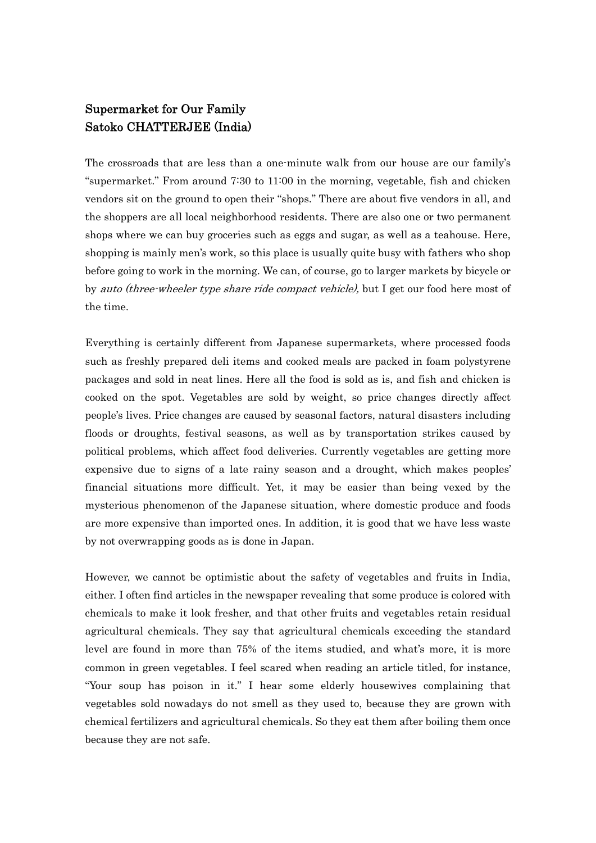## Supermarket for Our Family Satoko CHATTERJEE (India)

The crossroads that are less than a one-minute walk from our house are our family's "supermarket." From around 7:30 to 11:00 in the morning, vegetable, fish and chicken vendors sit on the ground to open their "shops." There are about five vendors in all, and the shoppers are all local neighborhood residents. There are also one or two permanent shops where we can buy groceries such as eggs and sugar, as well as a teahouse. Here, shopping is mainly men's work, so this place is usually quite busy with fathers who shop before going to work in the morning. We can, of course, go to larger markets by bicycle or by *auto (three-wheeler type share ride compact vehicle)*, but I get our food here most of the time.

Everything is certainly different from Japanese supermarkets, where processed foods such as freshly prepared deli items and cooked meals are packed in foam polystyrene packages and sold in neat lines. Here all the food is sold as is, and fish and chicken is cooked on the spot. Vegetables are sold by weight, so price changes directly affect people's lives. Price changes are caused by seasonal factors, natural disasters including floods or droughts, festival seasons, as well as by transportation strikes caused by political problems, which affect food deliveries. Currently vegetables are getting more expensive due to signs of a late rainy season and a drought, which makes peoples' financial situations more difficult. Yet, it may be easier than being vexed by the mysterious phenomenon of the Japanese situation, where domestic produce and foods are more expensive than imported ones. In addition, it is good that we have less waste by not overwrapping goods as is done in Japan.

However, we cannot be optimistic about the safety of vegetables and fruits in India, either. I often find articles in the newspaper revealing that some produce is colored with chemicals to make it look fresher, and that other fruits and vegetables retain residual agricultural chemicals. They say that agricultural chemicals exceeding the standard level are found in more than 75% of the items studied, and what's more, it is more common in green vegetables. I feel scared when reading an article titled, for instance, "Your soup has poison in it." I hear some elderly housewives complaining that vegetables sold nowadays do not smell as they used to, because they are grown with chemical fertilizers and agricultural chemicals. So they eat them after boiling them once because they are not safe.